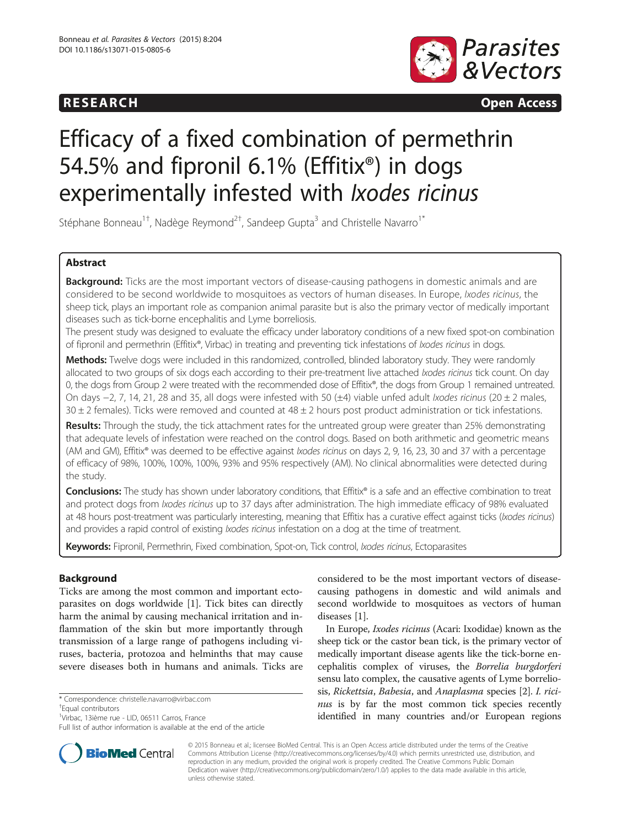## **RESEARCH CHINESEARCH CHINESEARCH CHINESE**



# Efficacy of a fixed combination of permethrin 54.5% and fipronil 6.1% (Effitix®) in dogs experimentally infested with *Ixodes ricinus*

Stéphane Bonneau<sup>1†</sup>, Nadège Reymond<sup>2†</sup>, Sandeep Gupta<sup>3</sup> and Christelle Navarro<sup>1\*</sup>

## Abstract

Background: Ticks are the most important vectors of disease-causing pathogens in domestic animals and are considered to be second worldwide to mosquitoes as vectors of human diseases. In Europe, Ixodes ricinus, the sheep tick, plays an important role as companion animal parasite but is also the primary vector of medically important diseases such as tick-borne encephalitis and Lyme borreliosis.

The present study was designed to evaluate the efficacy under laboratory conditions of a new fixed spot-on combination of fipronil and permethrin (Effitix®, Virbac) in treating and preventing tick infestations of Ixodes ricinus in dogs.

Methods: Twelve dogs were included in this randomized, controlled, blinded laboratory study. They were randomly allocated to two groups of six dogs each according to their pre-treatment live attached Ixodes ricinus tick count. On day 0, the dogs from Group 2 were treated with the recommended dose of Effitix®, the dogs from Group 1 remained untreated. On days −2, 7, 14, 21, 28 and 35, all dogs were infested with 50 (±4) viable unfed adult *Ixodes ricinus* (20 ± 2 males,  $30 \pm 2$  females). Ticks were removed and counted at  $48 \pm 2$  hours post product administration or tick infestations.

Results: Through the study, the tick attachment rates for the untreated group were greater than 25% demonstrating that adequate levels of infestation were reached on the control dogs. Based on both arithmetic and geometric means (AM and GM), Effitix® was deemed to be effective against *Ixodes ricinus* on days 2, 9, 16, 23, 30 and 37 with a percentage of efficacy of 98%, 100%, 100%, 100%, 93% and 95% respectively (AM). No clinical abnormalities were detected during the study.

Conclusions: The study has shown under laboratory conditions, that Effitix® is a safe and an effective combination to treat and protect dogs from *Ixodes ricinus* up to 37 days after administration. The high immediate efficacy of 98% evaluated at 48 hours post-treatment was particularly interesting, meaning that Effitix has a curative effect against ticks (Ixodes ricinus) and provides a rapid control of existing *lxodes ricinus* infestation on a dog at the time of treatment.

Keywords: Fipronil, Permethrin, Fixed combination, Spot-on, Tick control, Ixodes ricinus, Ectoparasites

## Background

Ticks are among the most common and important ectoparasites on dogs worldwide [[1\]](#page-5-0). Tick bites can directly harm the animal by causing mechanical irritation and inflammation of the skin but more importantly through transmission of a large range of pathogens including viruses, bacteria, protozoa and helminths that may cause severe diseases both in humans and animals. Ticks are

Equal contributors



In Europe, Ixodes ricinus (Acari: Ixodidae) known as the sheep tick or the castor bean tick, is the primary vector of medically important disease agents like the tick-borne encephalitis complex of viruses, the Borrelia burgdorferi sensu lato complex, the causative agents of Lyme borreliosis, Rickettsia, Babesia, and Anaplasma species [\[2](#page-5-0)]. I. ricinus is by far the most common tick species recently identified in many countries and/or European regions



© 2015 Bonneau et al.; licensee BioMed Central. This is an Open Access article distributed under the terms of the Creative Commons Attribution License [\(http://creativecommons.org/licenses/by/4.0\)](http://creativecommons.org/licenses/by/4.0) which permits unrestricted use, distribution, and reproduction in any medium, provided the original work is properly credited. The Creative Commons Public Domain Dedication waiver [\(http://creativecommons.org/publicdomain/zero/1.0/](http://creativecommons.org/publicdomain/zero/1.0/)) applies to the data made available in this article, unless otherwise stated.

<sup>\*</sup> Correspondence: [christelle.navarro@virbac.com](mailto:christelle.navarro@virbac.com) †

<sup>&</sup>lt;sup>1</sup>Virbac, 13ième rue - LID, 06511 Carros, France

Full list of author information is available at the end of the article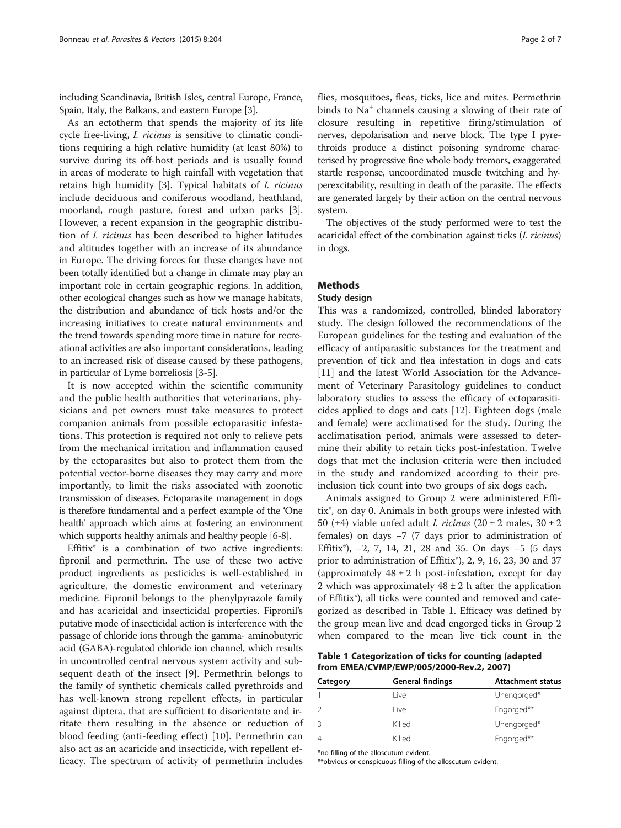<span id="page-1-0"></span>including Scandinavia, British Isles, central Europe, France, Spain, Italy, the Balkans, and eastern Europe [\[3](#page-5-0)].

As an ectotherm that spends the majority of its life cycle free-living, I. ricinus is sensitive to climatic conditions requiring a high relative humidity (at least 80%) to survive during its off-host periods and is usually found in areas of moderate to high rainfall with vegetation that retains high humidity [\[3](#page-5-0)]. Typical habitats of I. ricinus include deciduous and coniferous woodland, heathland, moorland, rough pasture, forest and urban parks [\[3](#page-5-0)]. However, a recent expansion in the geographic distribution of I. ricinus has been described to higher latitudes and altitudes together with an increase of its abundance in Europe. The driving forces for these changes have not been totally identified but a change in climate may play an important role in certain geographic regions. In addition, other ecological changes such as how we manage habitats, the distribution and abundance of tick hosts and/or the increasing initiatives to create natural environments and the trend towards spending more time in nature for recreational activities are also important considerations, leading to an increased risk of disease caused by these pathogens, in particular of Lyme borreliosis [[3-5\]](#page-5-0).

It is now accepted within the scientific community and the public health authorities that veterinarians, physicians and pet owners must take measures to protect companion animals from possible ectoparasitic infestations. This protection is required not only to relieve pets from the mechanical irritation and inflammation caused by the ectoparasites but also to protect them from the potential vector-borne diseases they may carry and more importantly, to limit the risks associated with zoonotic transmission of diseases. Ectoparasite management in dogs is therefore fundamental and a perfect example of the 'One health' approach which aims at fostering an environment which supports healthy animals and healthy people [[6-8\]](#page-5-0).

Effitix $\delta$  is a combination of two active ingredients: fipronil and permethrin. The use of these two active product ingredients as pesticides is well-established in agriculture, the domestic environment and veterinary medicine. Fipronil belongs to the phenylpyrazole family and has acaricidal and insecticidal properties. Fipronil's putative mode of insecticidal action is interference with the passage of chloride ions through the gamma- aminobutyric acid (GABA)-regulated chloride ion channel, which results in uncontrolled central nervous system activity and subsequent death of the insect [[9\]](#page-5-0). Permethrin belongs to the family of synthetic chemicals called pyrethroids and has well-known strong repellent effects, in particular against diptera, that are sufficient to disorientate and irritate them resulting in the absence or reduction of blood feeding (anti-feeding effect) [[10](#page-5-0)]. Permethrin can also act as an acaricide and insecticide, with repellent efficacy. The spectrum of activity of permethrin includes

flies, mosquitoes, fleas, ticks, lice and mites. Permethrin binds to  $Na<sup>+</sup>$  channels causing a slowing of their rate of closure resulting in repetitive firing/stimulation of nerves, depolarisation and nerve block. The type I pyrethroids produce a distinct poisoning syndrome characterised by progressive fine whole body tremors, exaggerated startle response, uncoordinated muscle twitching and hyperexcitability, resulting in death of the parasite. The effects are generated largely by their action on the central nervous system.

The objectives of the study performed were to test the acaricidal effect of the combination against ticks (I. ricinus) in dogs.

## Methods

## Study design

This was a randomized, controlled, blinded laboratory study. The design followed the recommendations of the European guidelines for the testing and evaluation of the efficacy of antiparasitic substances for the treatment and prevention of tick and flea infestation in dogs and cats [[11\]](#page-5-0) and the latest World Association for the Advancement of Veterinary Parasitology guidelines to conduct laboratory studies to assess the efficacy of ectoparasiticides applied to dogs and cats [\[12](#page-5-0)]. Eighteen dogs (male and female) were acclimatised for the study. During the acclimatisation period, animals were assessed to determine their ability to retain ticks post-infestation. Twelve dogs that met the inclusion criteria were then included in the study and randomized according to their preinclusion tick count into two groups of six dogs each.

Animals assigned to Group 2 were administered Effitix®, on day 0. Animals in both groups were infested with 50 ( $\pm$ 4) viable unfed adult *I. ricinus* (20  $\pm$  2 males, 30  $\pm$  2 females) on days −7 (7 days prior to administration of Effitix®), −2, 7, 14, 21, 28 and 35. On days −5 (5 days prior to administration of Effitix®), 2, 9, 16, 23, 30 and 37 (approximately  $48 \pm 2$  h post-infestation, except for day 2 which was approximately  $48 \pm 2$  h after the application of Effitix®), all ticks were counted and removed and categorized as described in Table 1. Efficacy was defined by the group mean live and dead engorged ticks in Group 2 when compared to the mean live tick count in the

Table 1 Categorization of ticks for counting (adapted from EMEA/CVMP/EWP/005/2000-Rev.2, 2007)

| Category | <b>General findings</b> | <b>Attachment status</b> |
|----------|-------------------------|--------------------------|
|          | Live                    | Unengorged*              |
|          | Live                    | Engorged**               |
|          | Killed                  | Unengorged*              |
|          | Killed                  | Engorged**               |

\*no filling of the alloscutum evident.

\*\*obvious or conspicuous filling of the alloscutum evident.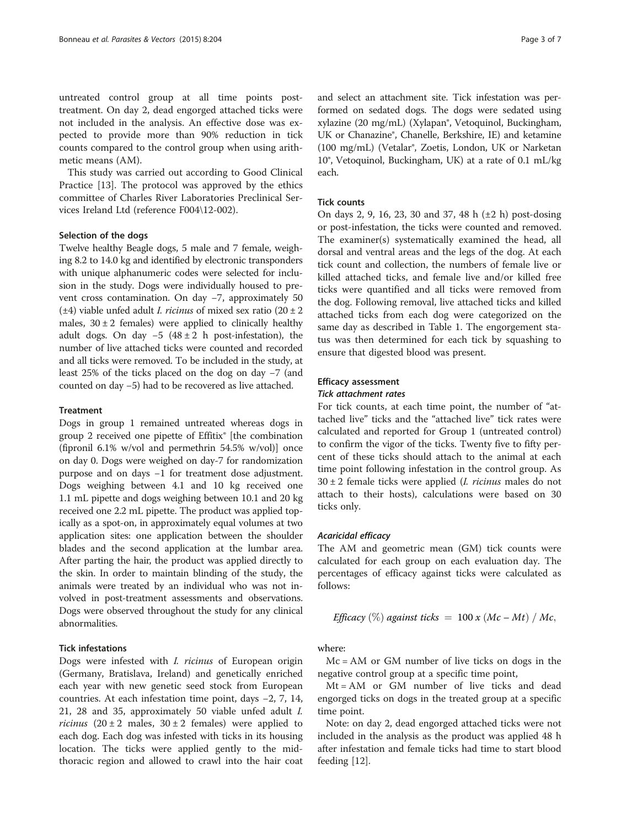untreated control group at all time points posttreatment. On day 2, dead engorged attached ticks were not included in the analysis. An effective dose was expected to provide more than 90% reduction in tick counts compared to the control group when using arithmetic means (AM).

This study was carried out according to Good Clinical Practice [[13](#page-5-0)]. The protocol was approved by the ethics committee of Charles River Laboratories Preclinical Services Ireland Ltd (reference F004\12-002).

#### Selection of the dogs

Twelve healthy Beagle dogs, 5 male and 7 female, weighing 8.2 to 14.0 kg and identified by electronic transponders with unique alphanumeric codes were selected for inclusion in the study. Dogs were individually housed to prevent cross contamination. On day −7, approximately 50 ( $\pm$ 4) viable unfed adult *I. ricinus* of mixed sex ratio ( $20 \pm 2$ ) males,  $30 \pm 2$  females) were applied to clinically healthy adult dogs. On day  $-5$  (48 ± 2 h post-infestation), the number of live attached ticks were counted and recorded and all ticks were removed. To be included in the study, at least 25% of the ticks placed on the dog on day −7 (and counted on day −5) had to be recovered as live attached.

#### **Treatment**

Dogs in group 1 remained untreated whereas dogs in group 2 received one pipette of Effitix® [the combination (fipronil 6.1% w/vol and permethrin 54.5% w/vol)] once on day 0. Dogs were weighed on day-7 for randomization purpose and on days −1 for treatment dose adjustment. Dogs weighing between 4.1 and 10 kg received one 1.1 mL pipette and dogs weighing between 10.1 and 20 kg received one 2.2 mL pipette. The product was applied topically as a spot-on, in approximately equal volumes at two application sites: one application between the shoulder blades and the second application at the lumbar area. After parting the hair, the product was applied directly to the skin. In order to maintain blinding of the study, the animals were treated by an individual who was not involved in post-treatment assessments and observations. Dogs were observed throughout the study for any clinical abnormalities.

## Tick infestations

Dogs were infested with *I. ricinus* of European origin (Germany, Bratislava, Ireland) and genetically enriched each year with new genetic seed stock from European countries. At each infestation time point, days −2, 7, 14, 21, 28 and 35, approximately 50 viable unfed adult I. *ricinus*  $(20 \pm 2 \text{ males}, 30 \pm 2 \text{ females})$  were applied to each dog. Each dog was infested with ticks in its housing location. The ticks were applied gently to the midthoracic region and allowed to crawl into the hair coat

and select an attachment site. Tick infestation was performed on sedated dogs. The dogs were sedated using xylazine (20 mg/mL) (Xylapan®, Vetoquinol, Buckingham, UK or Chanazine®, Chanelle, Berkshire, IE) and ketamine (100 mg/mL) (Vetalar®, Zoetis, London, UK or Narketan 10®, Vetoquinol, Buckingham, UK) at a rate of 0.1 mL/kg each.

## Tick counts

On days 2, 9, 16, 23, 30 and 37, 48 h (±2 h) post-dosing or post-infestation, the ticks were counted and removed. The examiner(s) systematically examined the head, all dorsal and ventral areas and the legs of the dog. At each tick count and collection, the numbers of female live or killed attached ticks, and female live and/or killed free ticks were quantified and all ticks were removed from the dog. Following removal, live attached ticks and killed attached ticks from each dog were categorized on the same day as described in Table [1.](#page-1-0) The engorgement status was then determined for each tick by squashing to ensure that digested blood was present.

## Efficacy assessment

#### Tick attachment rates

For tick counts, at each time point, the number of "attached live" ticks and the "attached live" tick rates were calculated and reported for Group 1 (untreated control) to confirm the vigor of the ticks. Twenty five to fifty percent of these ticks should attach to the animal at each time point following infestation in the control group. As  $30 \pm 2$  female ticks were applied (*I. ricinus* males do not attach to their hosts), calculations were based on 30 ticks only.

#### Acaricidal efficacy

The AM and geometric mean (GM) tick counts were calculated for each group on each evaluation day. The percentages of efficacy against ticks were calculated as follows:

Efficacy 
$$
(\%)
$$
 against ticks = 100 x  $(Mc - Mt) / Mc$ ,

where:

 $Mc = AM$  or GM number of live ticks on dogs in the negative control group at a specific time point,

 $Mt = AM$  or  $GM$  number of live ticks and dead engorged ticks on dogs in the treated group at a specific time point.

Note: on day 2, dead engorged attached ticks were not included in the analysis as the product was applied 48 h after infestation and female ticks had time to start blood feeding [\[12](#page-5-0)].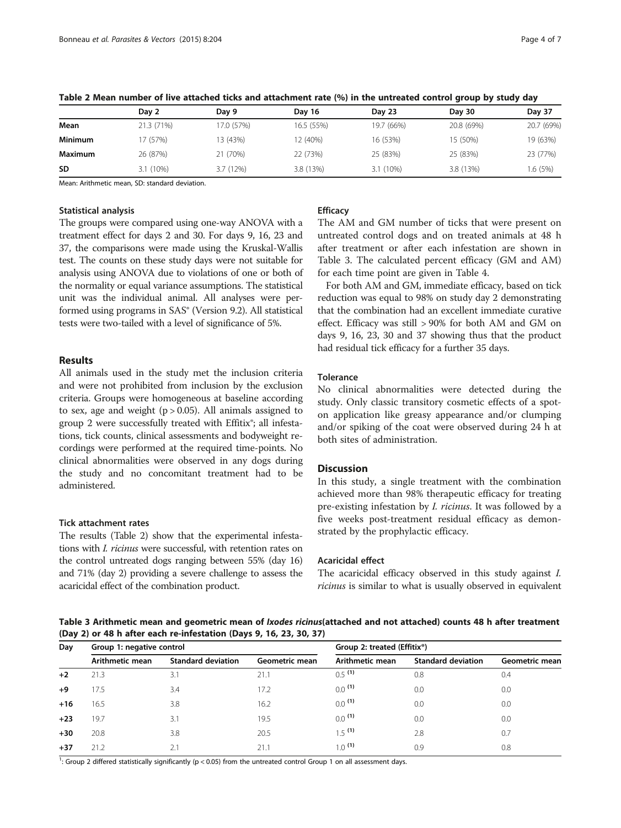|           | Day 2      | Day 9      | Day 16     | Day 23     | Day 30     | Day 37     |
|-----------|------------|------------|------------|------------|------------|------------|
| Mean      | 21.3 (71%) | 17.0 (57%) | 16.5 (55%) | 19.7 (66%) | 20.8 (69%) | 20.7 (69%) |
| Minimum   | 17 (57%)   | 13 (43%)   | 12 (40%)   | 16 (53%)   | 15 (50%)   | 19 (63%)   |
| Maximum   | 26 (87%)   | 21 (70%)   | 22 (73%)   | 25 (83%)   | 25 (83%)   | 23 (77%)   |
| <b>SD</b> | 3.1 (10%)  | 3.7 (12%)  | 3.8 (13%)  | 3.1 (10%)  | 3.8 (13%)  | 1.6 (5%)   |

Table 2 Mean number of live attached ticks and attachment rate (%) in the untreated control group by study day

Mean: Arithmetic mean, SD: standard deviation.

## Statistical analysis

The groups were compared using one-way ANOVA with a treatment effect for days 2 and 30. For days 9, 16, 23 and 37, the comparisons were made using the Kruskal-Wallis test. The counts on these study days were not suitable for analysis using ANOVA due to violations of one or both of the normality or equal variance assumptions. The statistical unit was the individual animal. All analyses were performed using programs in SAS® (Version 9.2). All statistical tests were two-tailed with a level of significance of 5%.

## Results

All animals used in the study met the inclusion criteria and were not prohibited from inclusion by the exclusion criteria. Groups were homogeneous at baseline according to sex, age and weight ( $p > 0.05$ ). All animals assigned to group 2 were successfully treated with Effitix®; all infestations, tick counts, clinical assessments and bodyweight recordings were performed at the required time-points. No clinical abnormalities were observed in any dogs during the study and no concomitant treatment had to be administered.

## Tick attachment rates

The results (Table 2) show that the experimental infestations with I. ricinus were successful, with retention rates on the control untreated dogs ranging between 55% (day 16) and 71% (day 2) providing a severe challenge to assess the acaricidal effect of the combination product.

## **Efficacy**

The AM and GM number of ticks that were present on untreated control dogs and on treated animals at 48 h after treatment or after each infestation are shown in Table 3. The calculated percent efficacy (GM and AM) for each time point are given in Table [4](#page-4-0).

For both AM and GM, immediate efficacy, based on tick reduction was equal to 98% on study day 2 demonstrating that the combination had an excellent immediate curative effect. Efficacy was still > 90% for both AM and GM on days 9, 16, 23, 30 and 37 showing thus that the product had residual tick efficacy for a further 35 days.

## **Tolerance**

No clinical abnormalities were detected during the study. Only classic transitory cosmetic effects of a spoton application like greasy appearance and/or clumping and/or spiking of the coat were observed during 24 h at both sites of administration.

## **Discussion**

In this study, a single treatment with the combination achieved more than 98% therapeutic efficacy for treating pre-existing infestation by I. ricinus. It was followed by a five weeks post-treatment residual efficacy as demonstrated by the prophylactic efficacy.

## Acaricidal effect

The acaricidal efficacy observed in this study against I. ricinus is similar to what is usually observed in equivalent

Table 3 Arithmetic mean and geometric mean of Ixodes ricinus(attached and not attached) counts 48 h after treatment (Day 2) or 48 h after each re-infestation (Days 9, 16, 23, 30, 37)

| Day   | Group 1: negative control |                           |                | Group 2: treated (Effitix <sup>®</sup> ) |                           |                |  |
|-------|---------------------------|---------------------------|----------------|------------------------------------------|---------------------------|----------------|--|
|       | Arithmetic mean           | <b>Standard deviation</b> | Geometric mean | Arithmetic mean                          | <b>Standard deviation</b> | Geometric mean |  |
| $+2$  | 21.3                      | 3.1                       | 21.1           | $0.5$ (1)                                | 0.8                       | 0.4            |  |
| $+9$  | 17.5                      | 3.4                       | 17.2           | $0.0$ (1)                                | 0.0                       | 0.0            |  |
| $+16$ | 16.5                      | 3.8                       | 16.2           | $0.0$ (1)                                | 0.0                       | 0.0            |  |
| $+23$ | 19.7                      | 3.1                       | 19.5           | $0.0$ (1)                                | 0.0                       | 0.0            |  |
| $+30$ | 20.8                      | 3.8                       | 20.5           | $1.5$ <sup>(1)</sup>                     | 2.8                       | 0.7            |  |
| $+37$ | 21.2                      | 2.1                       | 21.1           | 1.0(1)                                   | 0.9                       | 0.8            |  |

<sup>1</sup>: Group 2 differed statistically significantly (p < 0.05) from the untreated control Group 1 on all assessment days.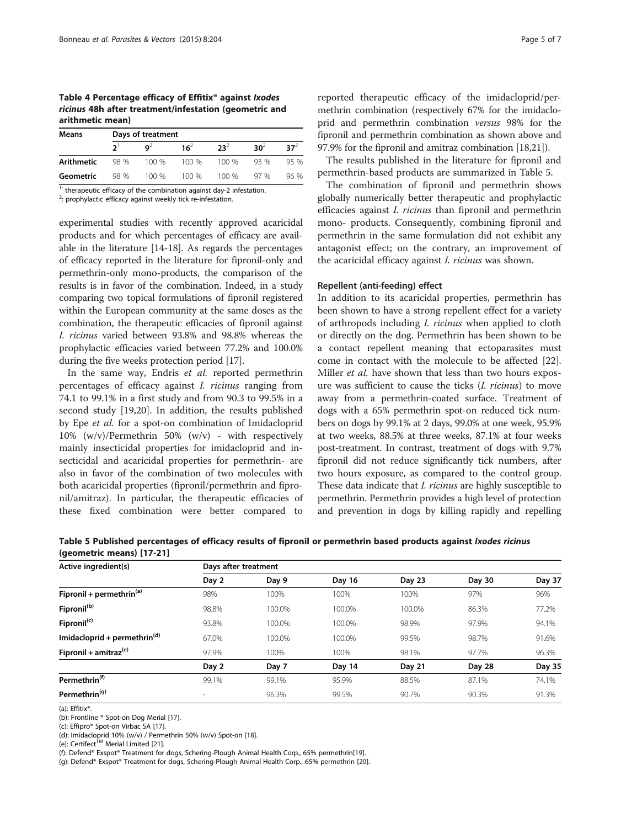<span id="page-4-0"></span>Table 4 Percentage efficacy of Effitix® against Ixodes ricinus 48h after treatment/infestation (geometric and arithmetic mean)

| Means      | Days of treatment |                |                 |        |                 |                   |  |  |
|------------|-------------------|----------------|-----------------|--------|-----------------|-------------------|--|--|
|            |                   | $\mathbf{a}^2$ | 16 <sup>2</sup> | $23^2$ | 30 <sup>2</sup> | 37 $\overline{z}$ |  |  |
| Arithmetic | 98 %              | $100\%$        | 100 %           | 100 %  | 93 %            | 95 %              |  |  |
| Geometric  | 98 %              | 100%           | 100 %           | 100 %  | 97%             | 96 %              |  |  |

 $1:$  therapeutic efficacy of the combination against day-2 infestation.

<sup>2</sup>: prophylactic efficacy against weekly tick re-infestation.

experimental studies with recently approved acaricidal products and for which percentages of efficacy are available in the literature [[14-](#page-5-0)[18\]](#page-6-0). As regards the percentages of efficacy reported in the literature for fipronil-only and permethrin-only mono-products, the comparison of the results is in favor of the combination. Indeed, in a study comparing two topical formulations of fipronil registered within the European community at the same doses as the combination, the therapeutic efficacies of fipronil against I. ricinus varied between 93.8% and 98.8% whereas the prophylactic efficacies varied between 77.2% and 100.0% during the five weeks protection period [[17](#page-6-0)].

In the same way, Endris et al. reported permethrin percentages of efficacy against I. ricinus ranging from 74.1 to 99.1% in a first study and from 90.3 to 99.5% in a second study [[19](#page-6-0),[20](#page-6-0)]. In addition, the results published by Epe et al. for a spot-on combination of Imidacloprid 10% (w/v)/Permethrin 50% (w/v) - with respectively mainly insecticidal properties for imidacloprid and insecticidal and acaricidal properties for permethrin- are also in favor of the combination of two molecules with both acaricidal properties (fipronil/permethrin and fipronil/amitraz). In particular, the therapeutic efficacies of these fixed combination were better compared to

reported therapeutic efficacy of the imidacloprid/permethrin combination (respectively 67% for the imidacloprid and permethrin combination versus 98% for the fipronil and permethrin combination as shown above and 97.9% for the fipronil and amitraz combination [\[18,21](#page-6-0)]).

The results published in the literature for fipronil and permethrin-based products are summarized in Table 5.

The combination of fipronil and permethrin shows globally numerically better therapeutic and prophylactic efficacies against I. ricinus than fipronil and permethrin mono- products. Consequently, combining fipronil and permethrin in the same formulation did not exhibit any antagonist effect; on the contrary, an improvement of the acaricidal efficacy against *I. ricinus* was shown.

#### Repellent (anti-feeding) effect

In addition to its acaricidal properties, permethrin has been shown to have a strong repellent effect for a variety of arthropods including I. ricinus when applied to cloth or directly on the dog. Permethrin has been shown to be a contact repellent meaning that ectoparasites must come in contact with the molecule to be affected [\[22](#page-6-0)]. Miller *et al.* have shown that less than two hours exposure was sufficient to cause the ticks (I. ricinus) to move away from a permethrin-coated surface. Treatment of dogs with a 65% permethrin spot-on reduced tick numbers on dogs by 99.1% at 2 days, 99.0% at one week, 95.9% at two weeks, 88.5% at three weeks, 87.1% at four weeks post-treatment. In contrast, treatment of dogs with 9.7% fipronil did not reduce significantly tick numbers, after two hours exposure, as compared to the control group. These data indicate that *I. ricinus* are highly susceptible to permethrin. Permethrin provides a high level of protection and prevention in dogs by killing rapidly and repelling

Table 5 Published percentages of efficacy results of fipronil or permethrin based products against Ixodes ricinus (geometric means) [\[17](#page-6-0)-[21\]](#page-6-0)

| Active ingredient(s)                     | Days after treatment |        |        |        |        |        |  |
|------------------------------------------|----------------------|--------|--------|--------|--------|--------|--|
|                                          | Day 2                | Day 9  | Day 16 | Day 23 | Day 30 | Day 37 |  |
| Fipronil + permethrin <sup>(a)</sup>     | 98%                  | 100%   | 100%   | 100%   | 97%    | 96%    |  |
| Fipronil <sup>(b)</sup>                  | 98.8%                | 100.0% | 100.0% | 100.0% | 86.3%  | 77.2%  |  |
| Fipronil <sup>(c)</sup>                  | 93.8%                | 100.0% | 100.0% | 98.9%  | 97.9%  | 94.1%  |  |
| Imidacloprid + permethrin <sup>(d)</sup> | 67.0%                | 100.0% | 100.0% | 99.5%  | 98.7%  | 91.6%  |  |
| Fipronil + amitraz <sup>(e)</sup>        | 97.9%                | 100%   | 100%   | 98.1%  | 97.7%  | 96.3%  |  |
|                                          | Day 2                | Day 7  | Day 14 | Day 21 | Day 28 | Day 35 |  |
| Permethrin <sup>(f)</sup>                | 99.1%                | 99.1%  | 95.9%  | 88.5%  | 87.1%  | 74.1%  |  |
| Permethrin <sup>(g)</sup>                |                      | 96.3%  | 99.5%  | 90.7%  | 90.3%  | 91.3%  |  |

(a): Effitix®.

(b): Frontline ® Spot-on Dog Merial [\[17](#page-6-0)].

(c): Effipro® Spot-on Virbac SA [[17\]](#page-6-0).

(d): Imidacloprid 10% (w/v) / Permethrin 50% (w/v) Spot-on [[18\]](#page-6-0).<br>(e): Certifect™ Merial Limited [\[21](#page-6-0)].

(f): Defend® Exspot® Treatment for dogs, Schering-Plough Animal Health Corp., 65% permethrin[[19\]](#page-6-0).

(g): Defend® Exspot® Treatment for dogs, Schering-Plough Animal Health Corp., 65% permethrin [\[20\]](#page-6-0).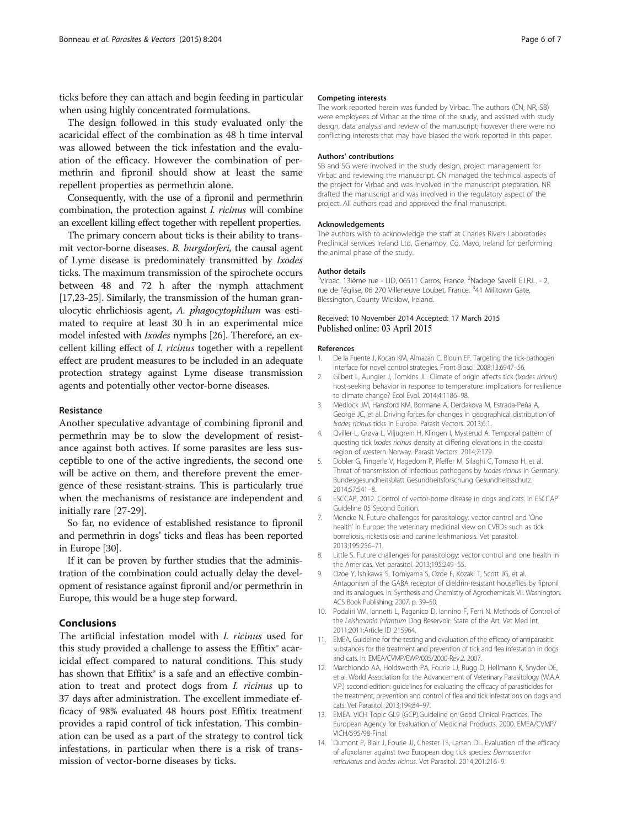<span id="page-5-0"></span>ticks before they can attach and begin feeding in particular when using highly concentrated formulations.

The design followed in this study evaluated only the acaricidal effect of the combination as 48 h time interval was allowed between the tick infestation and the evaluation of the efficacy. However the combination of permethrin and fipronil should show at least the same repellent properties as permethrin alone.

Consequently, with the use of a fipronil and permethrin combination, the protection against I. ricinus will combine an excellent killing effect together with repellent properties.

The primary concern about ticks is their ability to transmit vector-borne diseases. B. burgdorferi, the causal agent of Lyme disease is predominately transmitted by Ixodes ticks. The maximum transmission of the spirochete occurs between 48 and 72 h after the nymph attachment [[17,23](#page-6-0)-[25](#page-6-0)]. Similarly, the transmission of the human granulocytic ehrlichiosis agent, A. phagocytophilum was estimated to require at least 30 h in an experimental mice model infested with Ixodes nymphs [[26](#page-6-0)]. Therefore, an excellent killing effect of I. ricinus together with a repellent effect are prudent measures to be included in an adequate protection strategy against Lyme disease transmission agents and potentially other vector-borne diseases.

#### Resistance

Another speculative advantage of combining fipronil and permethrin may be to slow the development of resistance against both actives. If some parasites are less susceptible to one of the active ingredients, the second one will be active on them, and therefore prevent the emergence of these resistant-strains. This is particularly true when the mechanisms of resistance are independent and initially rare [\[27-29](#page-6-0)].

So far, no evidence of established resistance to fipronil and permethrin in dogs' ticks and fleas has been reported in Europe [[30](#page-6-0)].

If it can be proven by further studies that the administration of the combination could actually delay the development of resistance against fipronil and/or permethrin in Europe, this would be a huge step forward.

## Conclusions

The artificial infestation model with I. ricinus used for this study provided a challenge to assess the Effitix® acaricidal effect compared to natural conditions. This study has shown that Effitix® is a safe and an effective combination to treat and protect dogs from I. ricinus up to 37 days after administration. The excellent immediate efficacy of 98% evaluated 48 hours post Effitix treatment provides a rapid control of tick infestation. This combination can be used as a part of the strategy to control tick infestations, in particular when there is a risk of transmission of vector-borne diseases by ticks.

#### Competing interests

The work reported herein was funded by Virbac. The authors (CN, NR, SB) were employees of Virbac at the time of the study, and assisted with study design, data analysis and review of the manuscript; however there were no conflicting interests that may have biased the work reported in this paper.

#### Authors' contributions

SB and SG were involved in the study design, project management for Virbac and reviewing the manuscript. CN managed the technical aspects of the project for Virbac and was involved in the manuscript preparation. NR drafted the manuscript and was involved in the regulatory aspect of the project. All authors read and approved the final manuscript.

#### Acknowledgements

The authors wish to acknowledge the staff at Charles Rivers Laboratories Preclinical services Ireland Ltd, Glenamoy, Co. Mayo, Ireland for performing the animal phase of the study.

#### Author details

<sup>1</sup>Virbac, 13ième rue - LID, 06511 Carros, France. <sup>2</sup>Nadege Savelli E.I.R.L. - 2, rue de l'église, 06 270 Villeneuve Loubet, France. <sup>3</sup>41 Milltown Gate Blessington, County Wicklow, Ireland.

### Received: 10 November 2014 Accepted: 17 March 2015 Published online: 03 April 2015

#### References

- 1. De la Fuente J, Kocan KM, Almazan C, Blouin EF. Targeting the tick-pathogen interface for novel control strategies. Front Biosci. 2008;13:6947–56.
- 2. Gilbert L, Aungier J, Tomkins JL. Climate of origin affects tick (Ixodes ricinus) host-seeking behavior in response to temperature: implications for resilience to climate change? Ecol Evol. 2014;4:1186–98.
- 3. Medlock JM, Hansford KM, Bormane A, Derdakova M, Estrada-Peña A, George JC, et al. Driving forces for changes in geographical distribution of Ixodes ricinus ticks in Europe. Parasit Vectors. 2013;6:1.
- 4. Qviller L, Grøva L, Viljugrein H, Klingen I, Mysterud A. Temporal pattern of questing tick *Ixodes ricinus* density at differing elevations in the coastal region of western Norway. Parasit Vectors. 2014;7:179.
- 5. Dobler G, Fingerle V, Hagedorn P, Pfeffer M, Silaghi C, Tomaso H, et al. Threat of transmission of infectious pathogens by Ixodes ricinus in Germany. Bundesgesundheitsblatt Gesundheitsforschung Gesundheitsschutz. 2014;57:541–8.
- 6. ESCCAP, 2012. Control of vector-borne disease in dogs and cats. In ESCCAP Guideline 05 Second Edition.
- 7. Mencke N. Future challenges for parasitology: vector control and 'One health' in Europe: the veterinary medicinal view on CVBDs such as tick borreliosis, rickettsiosis and canine leishmaniosis. Vet parasitol. 2013;195:256–71.
- 8. Little S. Future challenges for parasitology: vector control and one health in the Americas. Vet parasitol. 2013;195:249–55.
- 9. Ozoe Y, Ishikawa S, Tomiyama S, Ozoe F, Kozaki T, Scott JG, et al. Antagonism of the GABA receptor of dieldrin-resistant houseflies by fipronil and its analogues. In: Synthesis and Chemistry of Agrochemicals VII. Washington: ACS Book Publishing; 2007. p. 39–50.
- 10. Podaliri VM, Iannetti L, Paganico D, Iannino F, Ferri N. Methods of Control of the Leishmania infantum Dog Reservoir: State of the Art. Vet Med Int. 2011;2011:Article ID 215964.
- 11. EMEA, Guideline for the testing and evaluation of the efficacy of antiparasitic substances for the treatment and prevention of tick and flea infestation in dogs and cats. In: EMEA/CVMP/EWP/005/2000-Rev.2. 2007.
- 12. Marchiondo AA, Holdsworth PA, Fourie LJ, Rugg D, Hellmann K, Snyder DE, et al. World Association for the Advancement of Veterinary Parasitology (W.A.A. V.P.) second edition: guidelines for evaluating the efficacy of parasiticides for the treatment, prevention and control of flea and tick infestations on dogs and cats. Vet Parasitol. 2013;194:84–97.
- 13. EMEA. VICH Topic GL9 (GCP).Guideline on Good Clinical Practices, The European Agency for Evaluation of Medicinal Products. 2000. EMEA/CVMP/ VICH/595/98-Final.
- 14. Dumont P, Blair J, Fourie JJ, Chester TS, Larsen DL. Evaluation of the efficacy of afoxolaner against two European dog tick species: Dermacentor reticulatus and Ixodes ricinus. Vet Parasitol. 2014;201:216–9.